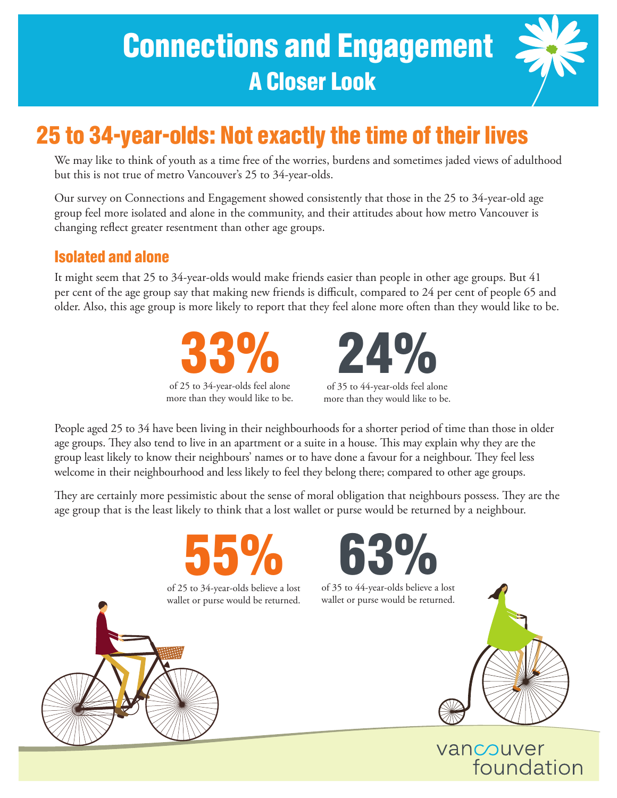# Connections and Engagement A Closer Look



## 25 to 34-year-olds: Not exactly the time of their lives

We may like to think of youth as a time free of the worries, burdens and sometimes jaded views of adulthood but this is not true of metro Vancouver's 25 to 34-year-olds.

Our survey on Connections and Engagement showed consistently that those in the 25 to 34-year-old age group feel more isolated and alone in the community, and their attitudes about how metro Vancouver is changing reflect greater resentment than other age groups.

## Isolated and alone

It might seem that 25 to 34-year-olds would make friends easier than people in other age groups. But 41 per cent of the age group say that making new friends is difficult, compared to 24 per cent of people 65 and older. Also, this age group is more likely to report that they feel alone more often than they would like to be.





of 35 to 44-year-olds feel alone more than they would like to be.

People aged 25 to 34 have been living in their neighbourhoods for a shorter period of time than those in older age groups. They also tend to live in an apartment or a suite in a house. This may explain why they are the group least likely to know their neighbours' names or to have done a favour for a neighbour. They feel less welcome in their neighbourhood and less likely to feel they belong there; compared to other age groups.

They are certainly more pessimistic about the sense of moral obligation that neighbours possess. They are the age group that is the least likely to think that a lost wallet or purse would be returned by a neighbour.





of 35 to 44-year-olds believe a lost wallet or purse would be returned.



## vancouver foundation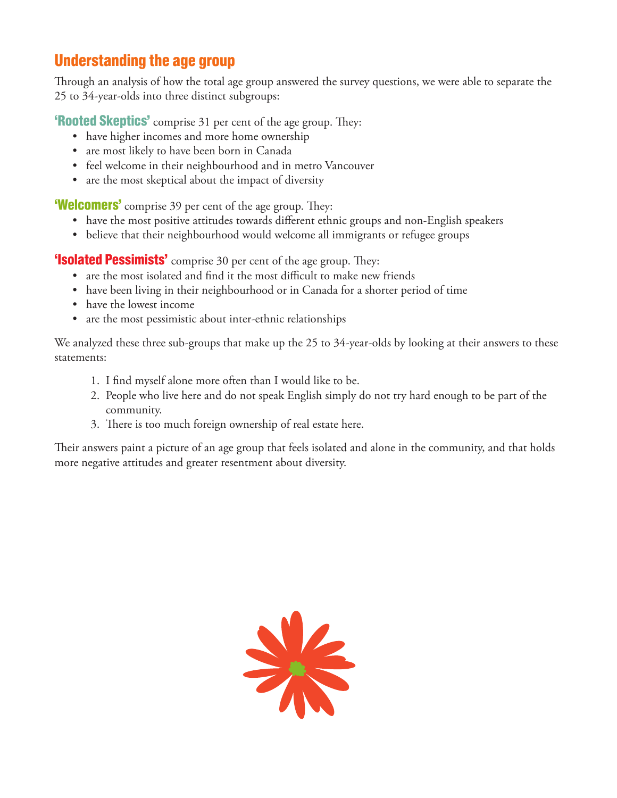## Understanding the age group

Through an analysis of how the total age group answered the survey questions, we were able to separate the 25 to 34-year-olds into three distinct subgroups:

**'Rooted Skeptics'** comprise 31 per cent of the age group. They:

- have higher incomes and more home ownership
- are most likely to have been born in Canada
- feel welcome in their neighbourhood and in metro Vancouver
- are the most skeptical about the impact of diversity

**'Welcomers'** comprise 39 per cent of the age group. They:

- have the most positive attitudes towards different ethnic groups and non-English speakers
- believe that their neighbourhood would welcome all immigrants or refugee groups

**'Isolated Pessimists'** comprise 30 per cent of the age group. They:

- are the most isolated and find it the most difficult to make new friends
- have been living in their neighbourhood or in Canada for a shorter period of time
- have the lowest income
- are the most pessimistic about inter-ethnic relationships

We analyzed these three sub-groups that make up the 25 to 34-year-olds by looking at their answers to these statements:

- 1. I find myself alone more often than I would like to be.
- 2. People who live here and do not speak English simply do not try hard enough to be part of the community.
- 3. There is too much foreign ownership of real estate here.

Their answers paint a picture of an age group that feels isolated and alone in the community, and that holds more negative attitudes and greater resentment about diversity.

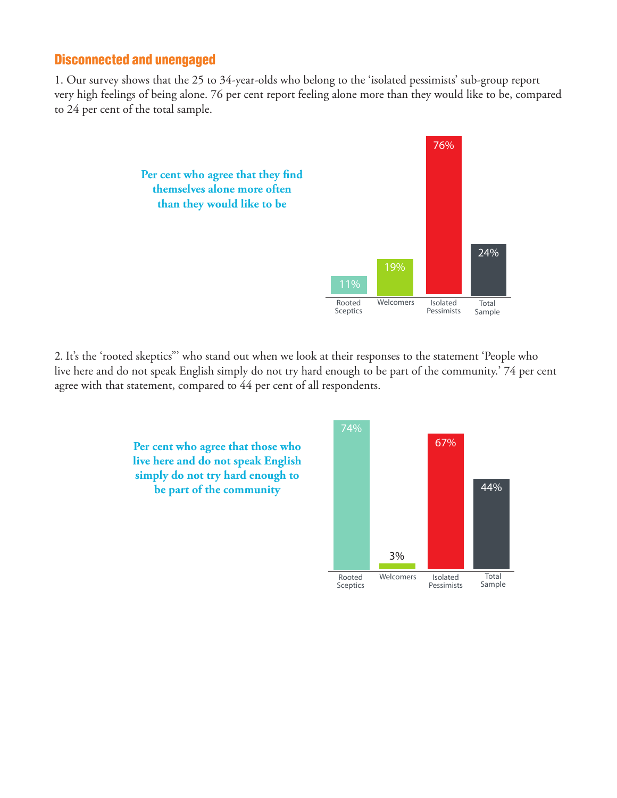### Disconnected and unengaged

1. Our survey shows that the 25 to 34-year-olds who belong to the 'isolated pessimists' sub-group report very high feelings of being alone. 76 per cent report feeling alone more than they would like to be, compared to 24 per cent of the total sample.



2. It's the 'rooted skeptics"' who stand out when we look at their responses to the statement 'People who live here and do not speak English simply do not try hard enough to be part of the community.' 74 per cent agree with that statement, compared to 44 per cent of all respondents.



**Per cent who agree that those who live here and do not speak English simply do not try hard enough to be part of the community**